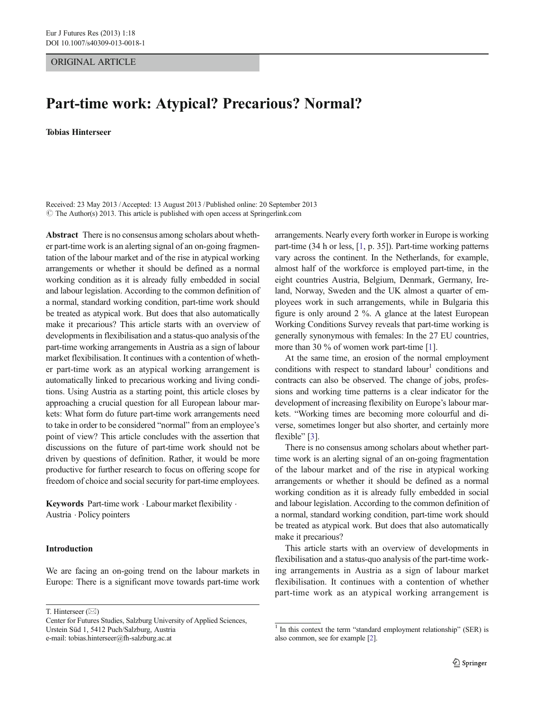# ORIGINAL ARTICLE

# Part-time work: Atypical? Precarious? Normal?

#### Tobias Hinterseer

Received: 23 May 2013 /Accepted: 13 August 2013 /Published online: 20 September 2013  $\odot$  The Author(s) 2013. This article is published with open access at Springerlink.com

Abstract There is no consensus among scholars about whether part-time work is an alerting signal of an on-going fragmentation of the labour market and of the rise in atypical working arrangements or whether it should be defined as a normal working condition as it is already fully embedded in social and labour legislation. According to the common definition of a normal, standard working condition, part-time work should be treated as atypical work. But does that also automatically make it precarious? This article starts with an overview of developments in flexibilisation and a status-quo analysis of the part-time working arrangements in Austria as a sign of labour market flexibilisation. It continues with a contention of whether part-time work as an atypical working arrangement is automatically linked to precarious working and living conditions. Using Austria as a starting point, this article closes by approaching a crucial question for all European labour markets: What form do future part-time work arrangements need to take in order to be considered "normal" from an employee's point of view? This article concludes with the assertion that discussions on the future of part-time work should not be driven by questions of definition. Rather, it would be more productive for further research to focus on offering scope for freedom of choice and social security for part-time employees.

Keywords Part-time work · Labour market flexibility · Austria . Policy pointers

### Introduction

We are facing an on-going trend on the labour markets in Europe: There is a significant move towards part-time work

T. Hinterseer  $(\boxtimes)$ 

arrangements. Nearly every forth worker in Europe is working part-time (34 h or less, [[1,](#page-6-0) p. 35]). Part-time working patterns vary across the continent. In the Netherlands, for example, almost half of the workforce is employed part-time, in the eight countries Austria, Belgium, Denmark, Germany, Ireland, Norway, Sweden and the UK almost a quarter of employees work in such arrangements, while in Bulgaria this figure is only around 2 %. A glance at the latest European Working Conditions Survey reveals that part-time working is generally synonymous with females: In the 27 EU countries, more than 30 % of women work part-time [\[1\]](#page-6-0).

At the same time, an erosion of the normal employment conditions with respect to standard labour<sup>1</sup> conditions and contracts can also be observed. The change of jobs, professions and working time patterns is a clear indicator for the development of increasing flexibility on Europe's labour markets. "Working times are becoming more colourful and diverse, sometimes longer but also shorter, and certainly more flexible" [\[3](#page-6-0)].

There is no consensus among scholars about whether parttime work is an alerting signal of an on-going fragmentation of the labour market and of the rise in atypical working arrangements or whether it should be defined as a normal working condition as it is already fully embedded in social and labour legislation. According to the common definition of a normal, standard working condition, part-time work should be treated as atypical work. But does that also automatically make it precarious?

This article starts with an overview of developments in flexibilisation and a status-quo analysis of the part-time working arrangements in Austria as a sign of labour market flexibilisation. It continues with a contention of whether part-time work as an atypical working arrangement is

Center for Futures Studies, Salzburg University of Applied Sciences, Urstein Süd 1, 5412 Puch/Salzburg, Austria e-mail: tobias.hinterseer@fh-salzburg.ac.at

 $\frac{1}{1}$  In this context the term "standard employment relationship" (SER) is also common, see for example [[2\]](#page-6-0).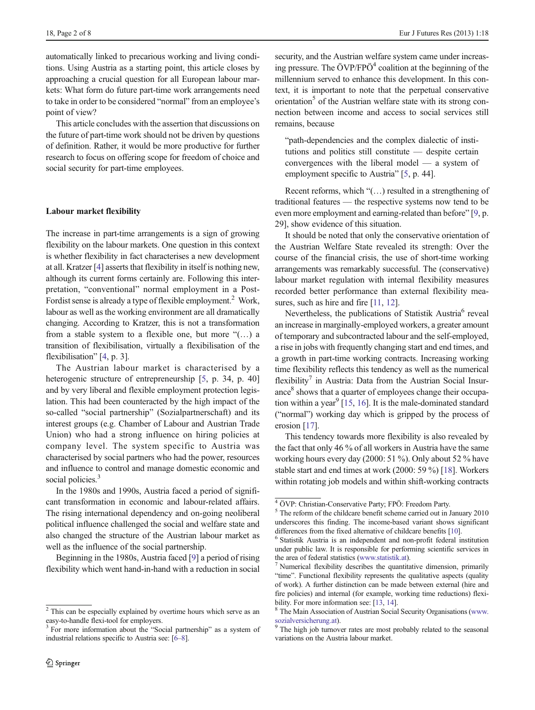automatically linked to precarious working and living conditions. Using Austria as a starting point, this article closes by approaching a crucial question for all European labour markets: What form do future part-time work arrangements need to take in order to be considered "normal" from an employee's point of view?

This article concludes with the assertion that discussions on the future of part-time work should not be driven by questions of definition. Rather, it would be more productive for further research to focus on offering scope for freedom of choice and social security for part-time employees.

## Labour market flexibility

The increase in part-time arrangements is a sign of growing flexibility on the labour markets. One question in this context is whether flexibility in fact characterises a new development at all. Kratzer [\[4](#page-6-0)] asserts that flexibility in itself is nothing new, although its current forms certainly are. Following this interpretation, "conventional" normal employment in a Post-Fordist sense is already a type of flexible employment.<sup>2</sup> Work, labour as well as the working environment are all dramatically changing. According to Kratzer, this is not a transformation from a stable system to a flexible one, but more "(…) a transition of flexibilisation, virtually a flexibilisation of the flexibilisation" [\[4,](#page-6-0) p. 3].

The Austrian labour market is characterised by a heterogenic structure of entrepreneurship [[5](#page-6-0), p. 34, p. 40] and by very liberal and flexible employment protection legislation. This had been counteracted by the high impact of the so-called "social partnership" (Sozialpartnerschaft) and its interest groups (e.g. Chamber of Labour and Austrian Trade Union) who had a strong influence on hiring policies at company level. The system specific to Austria was characterised by social partners who had the power, resources and influence to control and manage domestic economic and social policies.<sup>3</sup>

In the 1980s and 1990s, Austria faced a period of significant transformation in economic and labour-related affairs. The rising international dependency and on-going neoliberal political influence challenged the social and welfare state and also changed the structure of the Austrian labour market as well as the influence of the social partnership.

Beginning in the 1980s, Austria faced [\[9](#page-6-0)] a period of rising flexibility which went hand-in-hand with a reduction in social

security, and the Austrian welfare system came under increasing pressure. The  $\ddot{O}VP/FP\ddot{O}^4$  coalition at the beginning of the millennium served to enhance this development. In this context, it is important to note that the perpetual conservative orientation<sup>5</sup> of the Austrian welfare state with its strong connection between income and access to social services still remains, because

"path-dependencies and the complex dialectic of institutions and politics still constitute — despite certain convergences with the liberal model — a system of employment specific to Austria" [[5,](#page-6-0) p. 44].

Recent reforms, which "(…) resulted in a strengthening of traditional features — the respective systems now tend to be even more employment and earning-related than before" [[9](#page-6-0), p. 29], show evidence of this situation.

It should be noted that only the conservative orientation of the Austrian Welfare State revealed its strength: Over the course of the financial crisis, the use of short-time working arrangements was remarkably successful. The (conservative) labour market regulation with internal flexibility measures recorded better performance than external flexibility mea-sures, such as hire and fire [\[11,](#page-6-0) [12\]](#page-6-0).

Nevertheless, the publications of Statistik Austria<sup>6</sup> reveal an increase in marginally-employed workers, a greater amount of temporary and subcontracted labour and the self-employed, a rise in jobs with frequently changing start and end times, and a growth in part-time working contracts. Increasing working time flexibility reflects this tendency as well as the numerical flexibility<sup>7</sup> in Austria: Data from the Austrian Social Insurance<sup>8</sup> shows that a quarter of employees change their occupa-tion within a year<sup>9</sup> [\[15,](#page-6-0) [16](#page-6-0)]. It is the male-dominated standard ("normal") working day which is gripped by the process of erosion [\[17](#page-6-0)].

This tendency towards more flexibility is also revealed by the fact that only 46 % of all workers in Austria have the same working hours every day (2000: 51 %). Only about 52 % have stable start and end times at work (2000: 59 %) [\[18\]](#page-6-0). Workers within rotating job models and within shift-working contracts

<sup>2</sup> This can be especially explained by overtime hours which serve as an easy-to-handle flexi-tool for employers. <sup>3</sup> For more information about the "Social partnership" as a system of

industrial relations specific to Austria see: [[6](#page-6-0)–[8](#page-6-0)].

<sup>4</sup> ÖVP: Christian-Conservative Party; FPÖ: Freedom Party.

<sup>5</sup> The reform of the childcare benefit scheme carried out in January 2010 underscores this finding. The income-based variant shows significant differences from the fixed alternative of childcare benefits [[10\]](#page-6-0). <sup>6</sup> Statistik Austria is an independent and non-profit federal institution

under public law. It is responsible for performing scientific services in the area of federal statistics [\(www.statistik.at\)](http://www.statistik.at/).  $^7$  Numerical flexibility describes the quantitative dimension, primarily

<sup>&</sup>quot;time". Functional flexibility represents the qualitative aspects (quality of work). A further distinction can be made between external (hire and fire policies) and internal (for example, working time reductions) flexi-bility. For more information see: [\[13](#page-6-0), [14\]](#page-6-0).<br><sup>8</sup> The Main Association of Austrian Social Security Organisations ([www.](http://www.sozialversicherung.at/)

[sozialversicherung.at\)](http://www.sozialversicherung.at/). 9 The high job turnover rates are most probably related to the seasonal variations on the Austria labour market.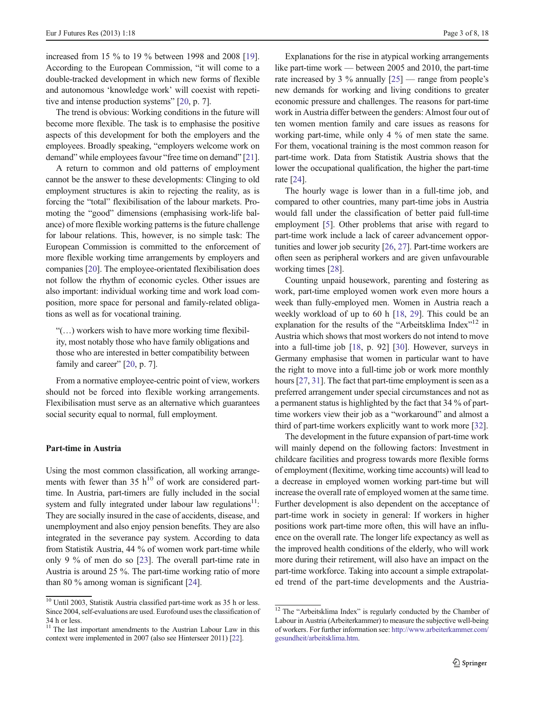increased from 15 % to 19 % between 1998 and 2008 [[19\]](#page-6-0). According to the European Commission, "it will come to a double-tracked development in which new forms of flexible and autonomous 'knowledge work' will coexist with repetitive and intense production systems" [\[20,](#page-6-0) p. 7].

The trend is obvious: Working conditions in the future will become more flexible. The task is to emphasise the positive aspects of this development for both the employers and the employees. Broadly speaking, "employers welcome work on demand" while employees favour "free time on demand" [[21\]](#page-6-0).

A return to common and old patterns of employment cannot be the answer to these developments: Clinging to old employment structures is akin to rejecting the reality, as is forcing the "total" flexibilisation of the labour markets. Promoting the "good" dimensions (emphasising work-life balance) of more flexible working patterns is the future challenge for labour relations. This, however, is no simple task: The European Commission is committed to the enforcement of more flexible working time arrangements by employers and companies [\[20\]](#page-6-0). The employee-orientated flexibilisation does not follow the rhythm of economic cycles. Other issues are also important: individual working time and work load composition, more space for personal and family-related obligations as well as for vocational training.

"(…) workers wish to have more working time flexibility, most notably those who have family obligations and those who are interested in better compatibility between family and career" [\[20](#page-6-0), p. 7].

From a normative employee-centric point of view, workers should not be forced into flexible working arrangements. Flexibilisation must serve as an alternative which guarantees social security equal to normal, full employment.

## Part-time in Austria

Using the most common classification, all working arrangements with fewer than 35  $h^{10}$  of work are considered parttime. In Austria, part-timers are fully included in the social system and fully integrated under labour law regulations $11$ : They are socially insured in the case of accidents, disease, and unemployment and also enjoy pension benefits. They are also integrated in the severance pay system. According to data from Statistik Austria, 44 % of women work part-time while only 9 % of men do so [\[23](#page-6-0)]. The overall part-time rate in Austria is around 25 %. The part-time working ratio of more than 80 % among woman is significant [[24](#page-6-0)].

Explanations for the rise in atypical working arrangements like part-time work — between 2005 and 2010, the part-time rate increased by 3 % annually [[25\]](#page-6-0) — range from people's new demands for working and living conditions to greater economic pressure and challenges. The reasons for part-time work in Austria differ between the genders: Almost four out of ten women mention family and care issues as reasons for working part-time, while only 4 % of men state the same. For them, vocational training is the most common reason for part-time work. Data from Statistik Austria shows that the lower the occupational qualification, the higher the part-time rate [\[24](#page-6-0)].

The hourly wage is lower than in a full-time job, and compared to other countries, many part-time jobs in Austria would fall under the classification of better paid full-time employment [[5\]](#page-6-0). Other problems that arise with regard to part-time work include a lack of career advancement opportunities and lower job security [\[26](#page-6-0), [27\]](#page-6-0). Part-time workers are often seen as peripheral workers and are given unfavourable working times [[28\]](#page-6-0).

Counting unpaid housework, parenting and fostering as work, part-time employed women work even more hours a week than fully-employed men. Women in Austria reach a weekly workload of up to 60 h [[18](#page-6-0), [29](#page-6-0)]. This could be an explanation for the results of the "Arbeitsklima Index"<sup>12</sup> in Austria which shows that most workers do not intend to move into a full-time job [\[18,](#page-6-0) p. 92] [[30](#page-6-0)]. However, surveys in Germany emphasise that women in particular want to have the right to move into a full-time job or work more monthly hours [[27,](#page-6-0) [31\]](#page-7-0). The fact that part-time employment is seen as a preferred arrangement under special circumstances and not as a permanent status is highlighted by the fact that 34 % of parttime workers view their job as a "workaround" and almost a third of part-time workers explicitly want to work more [\[32](#page-7-0)].

The development in the future expansion of part-time work will mainly depend on the following factors: Investment in childcare facilities and progress towards more flexible forms of employment (flexitime, working time accounts) will lead to a decrease in employed women working part-time but will increase the overall rate of employed women at the same time. Further development is also dependent on the acceptance of part-time work in society in general: If workers in higher positions work part-time more often, this will have an influence on the overall rate. The longer life expectancy as well as the improved health conditions of the elderly, who will work more during their retirement, will also have an impact on the part-time workforce. Taking into account a simple extrapolated trend of the part-time developments and the Austria-

 $\frac{10}{10}$  Until 2003, Statistik Austria classified part-time work as 35 h or less. Since 2004, self-evaluations are used. Eurofound uses the classification of 34 h or less.

<sup>&</sup>lt;sup>11</sup> The last important amendments to the Austrian Labour Law in this context were implemented in 2007 (also see Hinterseer 2011) [\[22\]](#page-6-0).

<sup>&</sup>lt;sup>12</sup> The "Arbeitsklima Index" is regularly conducted by the Chamber of Labour in Austria (Arbeiterkammer) to measure the subjective well-being of workers. For further information see: [http://www.arbeiterkammer.com/](http://www.arbeiterkammer.com/gesundheit/arbeitsklima.htm) [gesundheit/arbeitsklima.htm.](http://www.arbeiterkammer.com/gesundheit/arbeitsklima.htm)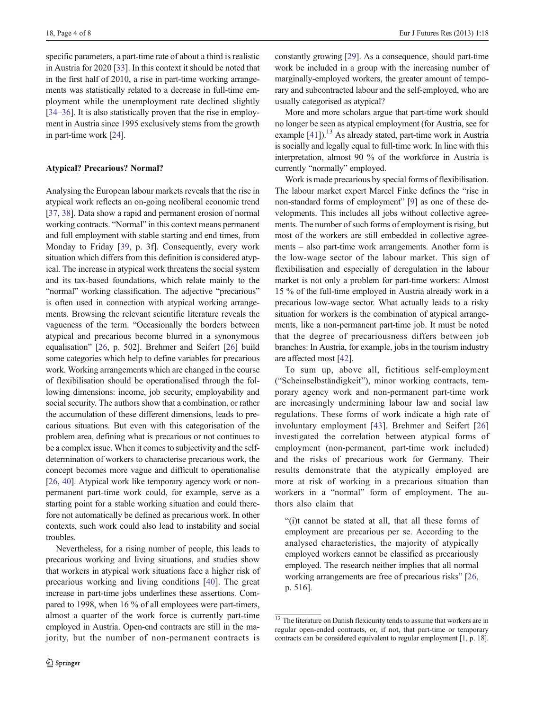specific parameters, a part-time rate of about a third is realistic in Austria for 2020 [[33](#page-7-0)]. In this context it should be noted that in the first half of 2010, a rise in part-time working arrangements was statistically related to a decrease in full-time employment while the unemployment rate declined slightly [\[34](#page-7-0)–[36\]](#page-7-0). It is also statistically proven that the rise in employment in Austria since 1995 exclusively stems from the growth in part-time work [[24\]](#page-6-0).

# Atypical? Precarious? Normal?

Analysing the European labour markets reveals that the rise in atypical work reflects an on-going neoliberal economic trend [\[37,](#page-7-0) [38\]](#page-7-0). Data show a rapid and permanent erosion of normal working contracts. "Normal" in this context means permanent and full employment with stable starting and end times, from Monday to Friday [\[39](#page-7-0), p. 3f]. Consequently, every work situation which differs from this definition is considered atypical. The increase in atypical work threatens the social system and its tax-based foundations, which relate mainly to the "normal" working classification. The adjective "precarious" is often used in connection with atypical working arrangements. Browsing the relevant scientific literature reveals the vagueness of the term. "Occasionally the borders between atypical and precarious become blurred in a synonymous equalisation" [[26](#page-6-0), p. 502]. Brehmer and Seifert [[26\]](#page-6-0) build some categories which help to define variables for precarious work. Working arrangements which are changed in the course of flexibilisation should be operationalised through the following dimensions: income, job security, employability and social security. The authors show that a combination, or rather the accumulation of these different dimensions, leads to precarious situations. But even with this categorisation of the problem area, defining what is precarious or not continues to be a complex issue. When it comes to subjectivity and the selfdetermination of workers to characterise precarious work, the concept becomes more vague and difficult to operationalise [\[26,](#page-6-0) [40](#page-7-0)]. Atypical work like temporary agency work or nonpermanent part-time work could, for example, serve as a starting point for a stable working situation and could therefore not automatically be defined as precarious work. In other contexts, such work could also lead to instability and social troubles.

Nevertheless, for a rising number of people, this leads to precarious working and living situations, and studies show that workers in atypical work situations face a higher risk of precarious working and living conditions [\[40\]](#page-7-0). The great increase in part-time jobs underlines these assertions. Compared to 1998, when 16 % of all employees were part-timers, almost a quarter of the work force is currently part-time employed in Austria. Open-end contracts are still in the majority, but the number of non-permanent contracts is

constantly growing [[29\]](#page-6-0). As a consequence, should part-time work be included in a group with the increasing number of marginally-employed workers, the greater amount of temporary and subcontracted labour and the self-employed, who are usually categorised as atypical?

More and more scholars argue that part-time work should no longer be seen as atypical employment (for Austria, see for example  $[41]$  $[41]$ .<sup>13</sup> As already stated, part-time work in Austria is socially and legally equal to full-time work. In line with this interpretation, almost 90 % of the workforce in Austria is currently "normally" employed.

Work is made precarious by special forms of flexibilisation. The labour market expert Marcel Finke defines the "rise in non-standard forms of employment" [[9\]](#page-6-0) as one of these developments. This includes all jobs without collective agreements. The number of such forms of employment is rising, but most of the workers are still embedded in collective agreements – also part-time work arrangements. Another form is the low-wage sector of the labour market. This sign of flexibilisation and especially of deregulation in the labour market is not only a problem for part-time workers: Almost 15 % of the full-time employed in Austria already work in a precarious low-wage sector. What actually leads to a risky situation for workers is the combination of atypical arrangements, like a non-permanent part-time job. It must be noted that the degree of precariousness differs between job branches: In Austria, for example, jobs in the tourism industry are affected most [[42](#page-7-0)].

To sum up, above all, fictitious self-employment ("Scheinselbständigkeit"), minor working contracts, temporary agency work and non-permanent part-time work are increasingly undermining labour law and social law regulations. These forms of work indicate a high rate of involuntary employment [[43](#page-7-0)]. Brehmer and Seifert [[26](#page-6-0)] investigated the correlation between atypical forms of employment (non-permanent, part-time work included) and the risks of precarious work for Germany. Their results demonstrate that the atypically employed are more at risk of working in a precarious situation than workers in a "normal" form of employment. The authors also claim that

"(i)t cannot be stated at all, that all these forms of employment are precarious per se. According to the analysed characteristics, the majority of atypically employed workers cannot be classified as precariously employed. The research neither implies that all normal working arrangements are free of precarious risks" [[26](#page-6-0), p. 516].

<sup>&</sup>lt;sup>13</sup> The literature on Danish flexicurity tends to assume that workers are in regular open-ended contracts, or, if not, that part-time or temporary contracts can be considered equivalent to regular employment [1, p. 18].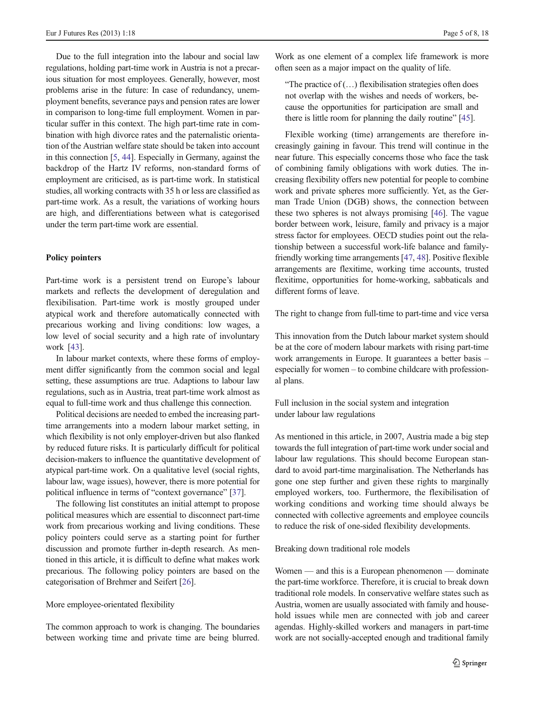Due to the full integration into the labour and social law regulations, holding part-time work in Austria is not a precarious situation for most employees. Generally, however, most problems arise in the future: In case of redundancy, unemployment benefits, severance pays and pension rates are lower in comparison to long-time full employment. Women in particular suffer in this context. The high part-time rate in combination with high divorce rates and the paternalistic orientation of the Austrian welfare state should be taken into account in this connection [\[5,](#page-6-0) [44\]](#page-7-0). Especially in Germany, against the backdrop of the Hartz IV reforms, non-standard forms of employment are criticised, as is part-time work. In statistical studies, all working contracts with 35 h or less are classified as part-time work. As a result, the variations of working hours are high, and differentiations between what is categorised under the term part-time work are essential.

# Policy pointers

Part-time work is a persistent trend on Europe's labour markets and reflects the development of deregulation and flexibilisation. Part-time work is mostly grouped under atypical work and therefore automatically connected with precarious working and living conditions: low wages, a low level of social security and a high rate of involuntary work [[43](#page-7-0)].

In labour market contexts, where these forms of employment differ significantly from the common social and legal setting, these assumptions are true. Adaptions to labour law regulations, such as in Austria, treat part-time work almost as equal to full-time work and thus challenge this connection.

Political decisions are needed to embed the increasing parttime arrangements into a modern labour market setting, in which flexibility is not only employer-driven but also flanked by reduced future risks. It is particularly difficult for political decision-makers to influence the quantitative development of atypical part-time work. On a qualitative level (social rights, labour law, wage issues), however, there is more potential for political influence in terms of "context governance" [[37](#page-7-0)].

The following list constitutes an initial attempt to propose political measures which are essential to disconnect part-time work from precarious working and living conditions. These policy pointers could serve as a starting point for further discussion and promote further in-depth research. As mentioned in this article, it is difficult to define what makes work precarious. The following policy pointers are based on the categorisation of Brehmer and Seifert [[26\]](#page-6-0).

## More employee-orientated flexibility

The common approach to work is changing. The boundaries between working time and private time are being blurred.

Work as one element of a complex life framework is more often seen as a major impact on the quality of life.

"The practice of  $(...)$  flexibilisation strategies often does not overlap with the wishes and needs of workers, because the opportunities for participation are small and there is little room for planning the daily routine" [\[45\]](#page-7-0).

Flexible working (time) arrangements are therefore increasingly gaining in favour. This trend will continue in the near future. This especially concerns those who face the task of combining family obligations with work duties. The increasing flexibility offers new potential for people to combine work and private spheres more sufficiently. Yet, as the German Trade Union (DGB) shows, the connection between these two spheres is not always promising [\[46\]](#page-7-0). The vague border between work, leisure, family and privacy is a major stress factor for employees. OECD studies point out the relationship between a successful work-life balance and familyfriendly working time arrangements [[47,](#page-7-0) [48\]](#page-7-0). Positive flexible arrangements are flexitime, working time accounts, trusted flexitime, opportunities for home-working, sabbaticals and different forms of leave.

The right to change from full-time to part-time and vice versa

This innovation from the Dutch labour market system should be at the core of modern labour markets with rising part-time work arrangements in Europe. It guarantees a better basis – especially for women – to combine childcare with professional plans.

Full inclusion in the social system and integration under labour law regulations

As mentioned in this article, in 2007, Austria made a big step towards the full integration of part-time work under social and labour law regulations. This should become European standard to avoid part-time marginalisation. The Netherlands has gone one step further and given these rights to marginally employed workers, too. Furthermore, the flexibilisation of working conditions and working time should always be connected with collective agreements and employee councils to reduce the risk of one-sided flexibility developments.

Breaking down traditional role models

Women — and this is a European phenomenon — dominate the part-time workforce. Therefore, it is crucial to break down traditional role models. In conservative welfare states such as Austria, women are usually associated with family and household issues while men are connected with job and career agendas. Highly-skilled workers and managers in part-time work are not socially-accepted enough and traditional family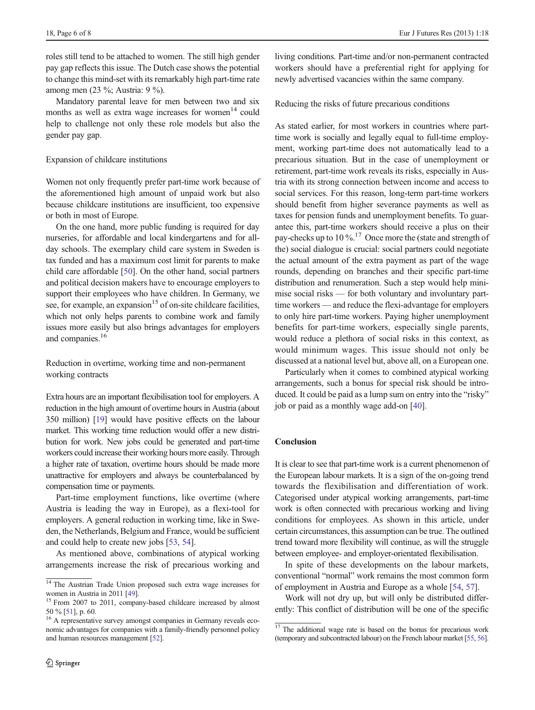roles still tend to be attached to women. The still high gender pay gap reflects this issue. The Dutch case shows the potential to change this mind-set with its remarkably high part-time rate among men (23 %; Austria: 9 %).

Mandatory parental leave for men between two and six months as well as extra wage increases for women<sup>14</sup> could help to challenge not only these role models but also the gender pay gap.

## Expansion of childcare institutions

Women not only frequently prefer part-time work because of the aforementioned high amount of unpaid work but also because childcare institutions are insufficient, too expensive or both in most of Europe.

On the one hand, more public funding is required for day nurseries, for affordable and local kindergartens and for allday schools. The exemplary child care system in Sweden is tax funded and has a maximum cost limit for parents to make child care affordable [[50](#page-7-0)]. On the other hand, social partners and political decision makers have to encourage employers to support their employees who have children. In Germany, we see, for example, an expansion<sup>15</sup> of on-site childcare facilities, which not only helps parents to combine work and family issues more easily but also brings advantages for employers and companies.<sup>16</sup>

Reduction in overtime, working time and non-permanent working contracts

Extra hours are an important flexibilisation tool for employers. A reduction in the high amount of overtime hours in Austria (about 350 million) [[19](#page-6-0)] would have positive effects on the labour market. This working time reduction would offer a new distribution for work. New jobs could be generated and part-time workers could increase their working hours more easily. Through a higher rate of taxation, overtime hours should be made more unattractive for employers and always be counterbalanced by compensation time or payments.

Part-time employment functions, like overtime (where Austria is leading the way in Europe), as a flexi-tool for employers. A general reduction in working time, like in Sweden, the Netherlands, Belgium and France, would be sufficient and could help to create new jobs [[53,](#page-7-0) [54\]](#page-7-0).

As mentioned above, combinations of atypical working arrangements increase the risk of precarious working and

living conditions. Part-time and/or non-permanent contracted workers should have a preferential right for applying for newly advertised vacancies within the same company.

Reducing the risks of future precarious conditions

As stated earlier, for most workers in countries where parttime work is socially and legally equal to full-time employment, working part-time does not automatically lead to a precarious situation. But in the case of unemployment or retirement, part-time work reveals its risks, especially in Austria with its strong connection between income and access to social services. For this reason, long-term part-time workers should benefit from higher severance payments as well as taxes for pension funds and unemployment benefits. To guarantee this, part-time workers should receive a plus on their pay-checks up to 10  $\%$ .<sup>17</sup> Once more the (state and strength of the) social dialogue is crucial: social partners could negotiate the actual amount of the extra payment as part of the wage rounds, depending on branches and their specific part-time distribution and renumeration. Such a step would help minimise social risks — for both voluntary and involuntary parttime workers — and reduce the flexi-advantage for employers to only hire part-time workers. Paying higher unemployment benefits for part-time workers, especially single parents, would reduce a plethora of social risks in this context, as would minimum wages. This issue should not only be discussed at a national level but, above all, on a European one.

Particularly when it comes to combined atypical working arrangements, such a bonus for special risk should be introduced. It could be paid as a lump sum on entry into the "risky" job or paid as a monthly wage add-on [\[40\]](#page-7-0).

## **Conclusion**

It is clear to see that part-time work is a current phenomenon of the European labour markets. It is a sign of the on-going trend towards the flexibilisation and differentiation of work. Categorised under atypical working arrangements, part-time work is often connected with precarious working and living conditions for employees. As shown in this article, under certain circumstances, this assumption can be true. The outlined trend toward more flexibility will continue, as will the struggle between employee- and employer-orientated flexibilisation.

In spite of these developments on the labour markets, conventional "normal" work remains the most common form of employment in Austria and Europe as a whole [[54,](#page-7-0) [57](#page-7-0)].

Work will not dry up, but will only be distributed differently: This conflict of distribution will be one of the specific

<sup>&</sup>lt;sup>14</sup> The Austrian Trade Union proposed such extra wage increases for

women in Austria in 2011 [\[49\]](#page-7-0).<br><sup>15</sup> From 2007 to 2011, company-based childcare increased by almost 50 % [51], p. 60.

 $16$  A representative survey amongst companies in Germany reveals economic advantages for companies with a family-friendly personnel policy and human resources management [[52\]](#page-7-0).

 $17$  The additional wage rate is based on the bonus for precarious work (temporary and subcontracted labour) on the French labour market [[55,](#page-7-0) [56\]](#page-7-0).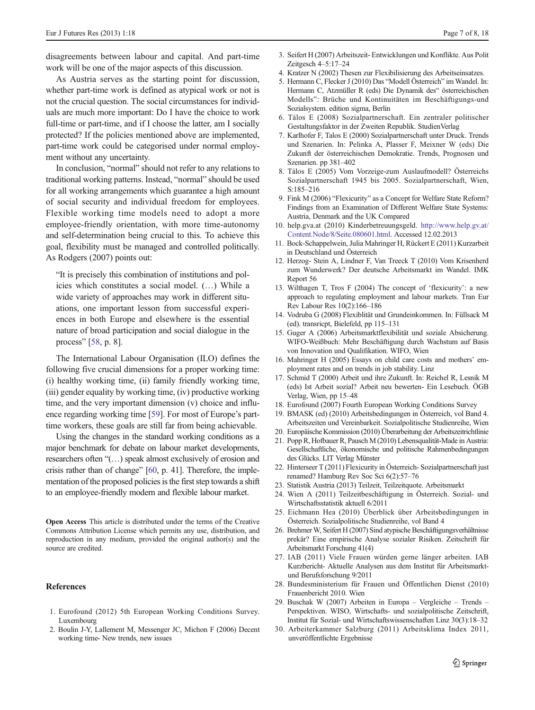<span id="page-6-0"></span>disagreements between labour and capital. And part-time work will be one of the major aspects of this discussion.

As Austria serves as the starting point for discussion, whether part-time work is defined as atypical work or not is not the crucial question. The social circumstances for individuals are much more important: Do I have the choice to work full-time or part-time, and if I choose the latter, am I socially protected? If the policies mentioned above are implemented, part-time work could be categorised under normal employment without any uncertainty.

In conclusion, "normal" should not refer to any relations to traditional working patterns. Instead, "normal" should be used for all working arrangements which guarantee a high amount of social security and individual freedom for employees. Flexible working time models need to adopt a more employee-friendly orientation, with more time-autonomy and self-determination being crucial to this. To achieve this goal, flexibility must be managed and controlled politically. As Rodgers (2007) points out:

"It is precisely this combination of institutions and policies which constitutes a social model. (…) While a wide variety of approaches may work in different situations, one important lesson from successful experiences in both Europe and elsewhere is the essential nature of broad participation and social dialogue in the process" [\[58](#page-7-0), p. 8].

The International Labour Organisation (ILO) defines the following five crucial dimensions for a proper working time: (i) healthy working time, (ii) family friendly working time, (iii) gender equality by working time, (iv) productive working time, and the very important dimension (v) choice and influence regarding working time [\[59](#page-7-0)]. For most of Europe's parttime workers, these goals are still far from being achievable.

Using the changes in the standard working conditions as a major benchmark for debate on labour market developments, researchers often "(…) speak almost exclusively of erosion and crisis rather than of change" [\[60,](#page-7-0) p. 41]. Therefore, the implementation of the proposed policies is the first step towards a shift to an employee-friendly modern and flexible labour market.

Open Access This article is distributed under the terms of the Creative Commons Attribution License which permits any use, distribution, and reproduction in any medium, provided the original author(s) and the source are credited.

## **References**

- 1. Eurofound (2012) 5th European Working Conditions Survey. Luxembourg
- 2. Boulin J-Y, Lallement M, Messenger JC, Michon F (2006) Decent working time- New trends, new issues
- 3. Seifert H (2007) Arbeitszeit- Entwicklungen und Konflikte. Aus Polit Zeitgesch 4–5:17–24
- 4. Kratzer N (2002) Thesen zur Flexibilisierung des Arbeitseinsatzes.
- 5. Hermann C, Flecker J (2010) Das "Modell Österreich" im Wandel. In: Hermann C, Atzmüller R (eds) Die Dynamik des" österreichischen Modells": Brüche und Kontinuitäten im Beschäftigungs-und Sozialsystem. edition sigma, Berlin
- 6. Tálos E (2008) Sozialpartnerschaft. Ein zentraler politischer Gestaltungsfaktor in der Zweiten Republik. StudienVerlag
- 7. Karlhofer F, Talos E (2000) Sozialpartnerschaft unter Druck. Trends und Szenarien. In: Pelinka A, Plasser F, Meixner W (eds) Die Zukunft der österreichischen Demokratie. Trends, Prognosen und Szenarien. pp 381–402
- 8. Tálos E (2005) Vom Vorzeige-zum Auslaufmodell? Österreichs Sozialpartnerschaft 1945 bis 2005. Sozialpartnerschaft, Wien, S:185–216
- 9. Fink M (2006) "Flexicurity" as a Concept for Welfare State Reform? Findings from an Examination of Different Welfare State Systems: Austria, Denmark and the UK Compared
- 10. help.gva.at (2010) Kinderbetreuungsgeld. [http://www.help.gv.at/](http://www.help.gv.at/Content.Node/8/Seite.080601.html) [Content.Node/8/Seite.080601.html](http://www.help.gv.at/Content.Node/8/Seite.080601.html). Accessed 12.02.2013
- 11. Bock-Schappelwein, Julia Mahringer H, Rückert E (2011) Kurzarbeit in Deutschland und Österreich
- 12. Herzog- Stein A, Lindner F, Van Treeck T (2010) Vom Krisenherd zum Wunderwerk? Der deutsche Arbeitsmarkt im Wandel. IMK Report 56
- 13. Wilthagen T, Tros F (2004) The concept of 'flexicurity': a new approach to regulating employment and labour markets. Tran Eur Rev Labour Res 10(2):166–186
- 14. Vodruba G (2008) Flexiblität und Grundeinkommen. In: Füllsack M (ed). transricpt, Bielefeld, pp 115–131
- 15. Guger A (2006) Arbeitsmarktflexibilität und soziale Absicherung. WIFO-Weißbuch: Mehr Beschäftigung durch Wachstum auf Basis von Innovation und Qualifikation. WIFO, Wien
- 16. Mahringer H (2005) Essays on child care costs and mothers' employment rates and on trends in job stability. Linz
- 17. Schmid T (2000) Arbeit und ihre Zukunft. In: Reichel R, Lesnik M (eds) Ist Arbeit sozial? Arbeit neu bewerten- Ein Lesebuch. ÖGB Verlag, Wien, pp 15–48
- 18. Eurofound (2007) Fourth European Working Conditions Survey
- 19. BMASK (ed) (2010) Arbeitsbedingungen in Österreich, vol Band 4. Arbeitszeiten und Vereinbarkeit. Sozialpolitische Studienreihe, Wien
- 20. Europäische Kommission (2010) Überarbeitung der Arbeitszeitrichtlinie
- 21. Popp R, Hofbauer R, Pausch M (2010) Lebensqualität-Made in Austria: Gesellschaftliche, ökonomische und politische Rahmenbedingungen des Glücks. LIT Verlag Münster
- 22. Hinterseer T (2011) Flexicurity in Österreich- Sozialpartnerschaft just renamed? Hamburg Rev Soc Sci 6(2):57–76
- 23. Statistik Austria (2013) Teilzeit, Teilzeitquote. Arbeitsmarkt
- 24. Wien A (2011) Teilzeitbeschäftigung in Österreich. Sozial- und Wirtschaftsstatistik aktuell 6/2011
- 25. Eichmann Hea (2010) Überblick über Arbeitsbedingungen in Österreich. Sozialpolitische Studienreihe, vol Band 4
- 26. Brehmer W, Seifert H (2007) Sind atypische Beschäftigungsverhältnisse prekär? Eine empirische Analyse sozialer Risiken. Zeitschrift für Arbeitsmarkt Forschung 41(4)
- 27. IAB (2011) Viele Frauen würden gerne länger arbeiten. IAB Kurzbericht- Aktuelle Analysen aus dem Institut für Arbeitsmarktund Berufsforschung 9/2011
- 28. Bundesministerium für Frauen und Öffentlichen Dienst (2010) Frauenbericht 2010. Wien
- 29. Buschak W (2007) Arbeiten in Europa Vergleiche Trends Perspektiven. WISO, Wirtschafts- und sozialpolitische Zeitschrift, Institut für Sozial- und Wirtschaftswissenschaften Linz 30(3):18–32
- 30. Arbeiterkammer Salzburg (2011) Arbeitsklima Index 2011, unveröffentlichte Ergebnisse